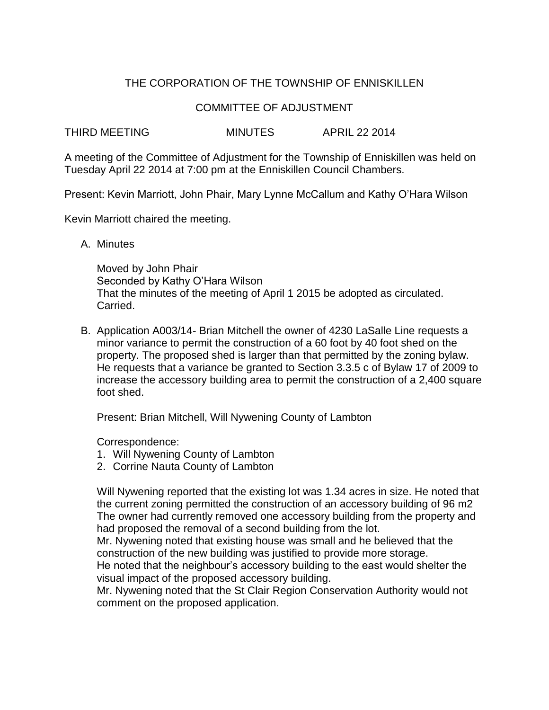## THE CORPORATION OF THE TOWNSHIP OF ENNISKILLEN

#### COMMITTEE OF ADJUSTMENT

THIRD MEETING MINUTES APRIL 22 2014

A meeting of the Committee of Adjustment for the Township of Enniskillen was held on Tuesday April 22 2014 at 7:00 pm at the Enniskillen Council Chambers.

Present: Kevin Marriott, John Phair, Mary Lynne McCallum and Kathy O'Hara Wilson

Kevin Marriott chaired the meeting.

A. Minutes

Moved by John Phair Seconded by Kathy O'Hara Wilson That the minutes of the meeting of April 1 2015 be adopted as circulated. Carried.

B. Application A003/14- Brian Mitchell the owner of 4230 LaSalle Line requests a minor variance to permit the construction of a 60 foot by 40 foot shed on the property. The proposed shed is larger than that permitted by the zoning bylaw. He requests that a variance be granted to Section 3.3.5 c of Bylaw 17 of 2009 to increase the accessory building area to permit the construction of a 2,400 square foot shed.

Present: Brian Mitchell, Will Nywening County of Lambton

Correspondence:

- 1. Will Nywening County of Lambton
- 2. Corrine Nauta County of Lambton

Will Nywening reported that the existing lot was 1.34 acres in size. He noted that the current zoning permitted the construction of an accessory building of 96 m2 The owner had currently removed one accessory building from the property and had proposed the removal of a second building from the lot.

Mr. Nywening noted that existing house was small and he believed that the construction of the new building was justified to provide more storage.

He noted that the neighbour's accessory building to the east would shelter the visual impact of the proposed accessory building.

Mr. Nywening noted that the St Clair Region Conservation Authority would not comment on the proposed application.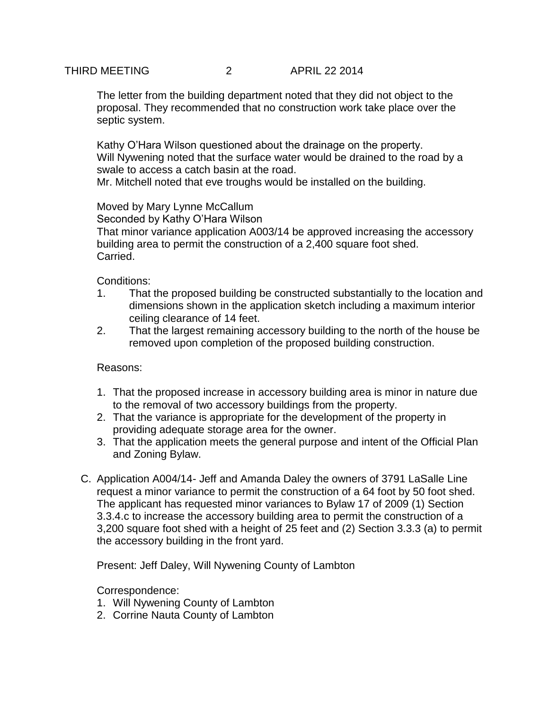THIRD MEETING 2 APRIL 22 2014

The letter from the building department noted that they did not object to the proposal. They recommended that no construction work take place over the septic system.

Kathy O'Hara Wilson questioned about the drainage on the property. Will Nywening noted that the surface water would be drained to the road by a swale to access a catch basin at the road.

Mr. Mitchell noted that eve troughs would be installed on the building.

### Moved by Mary Lynne McCallum

Seconded by Kathy O'Hara Wilson

That minor variance application A003/14 be approved increasing the accessory building area to permit the construction of a 2,400 square foot shed. Carried.

Conditions:

- 1. That the proposed building be constructed substantially to the location and dimensions shown in the application sketch including a maximum interior ceiling clearance of 14 feet.
- 2. That the largest remaining accessory building to the north of the house be removed upon completion of the proposed building construction.

Reasons:

- 1. That the proposed increase in accessory building area is minor in nature due to the removal of two accessory buildings from the property.
- 2. That the variance is appropriate for the development of the property in providing adequate storage area for the owner.
- 3. That the application meets the general purpose and intent of the Official Plan and Zoning Bylaw.
- C. Application A004/14- Jeff and Amanda Daley the owners of 3791 LaSalle Line request a minor variance to permit the construction of a 64 foot by 50 foot shed. The applicant has requested minor variances to Bylaw 17 of 2009 (1) Section 3.3.4.c to increase the accessory building area to permit the construction of a 3,200 square foot shed with a height of 25 feet and (2) Section 3.3.3 (a) to permit the accessory building in the front yard.

Present: Jeff Daley, Will Nywening County of Lambton

Correspondence:

- 1. Will Nywening County of Lambton
- 2. Corrine Nauta County of Lambton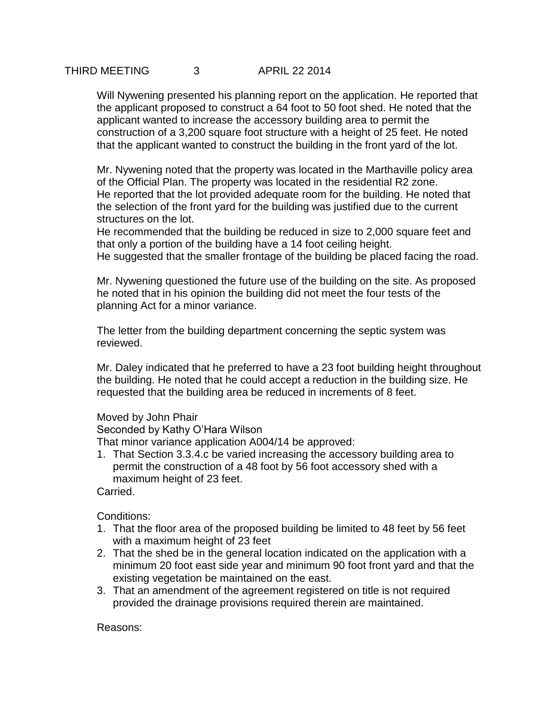Will Nywening presented his planning report on the application. He reported that the applicant proposed to construct a 64 foot to 50 foot shed. He noted that the applicant wanted to increase the accessory building area to permit the construction of a 3,200 square foot structure with a height of 25 feet. He noted that the applicant wanted to construct the building in the front yard of the lot.

Mr. Nywening noted that the property was located in the Marthaville policy area of the Official Plan. The property was located in the residential R2 zone. He reported that the lot provided adequate room for the building. He noted that the selection of the front yard for the building was justified due to the current structures on the lot.

He recommended that the building be reduced in size to 2,000 square feet and that only a portion of the building have a 14 foot ceiling height.

He suggested that the smaller frontage of the building be placed facing the road.

Mr. Nywening questioned the future use of the building on the site. As proposed he noted that in his opinion the building did not meet the four tests of the planning Act for a minor variance.

The letter from the building department concerning the septic system was reviewed.

Mr. Daley indicated that he preferred to have a 23 foot building height throughout the building. He noted that he could accept a reduction in the building size. He requested that the building area be reduced in increments of 8 feet.

### Moved by John Phair

Seconded by Kathy O'Hara Wilson

That minor variance application A004/14 be approved:

1. That Section 3.3.4.c be varied increasing the accessory building area to permit the construction of a 48 foot by 56 foot accessory shed with a maximum height of 23 feet.

Carried.

Conditions:

- 1. That the floor area of the proposed building be limited to 48 feet by 56 feet with a maximum height of 23 feet
- 2. That the shed be in the general location indicated on the application with a minimum 20 foot east side year and minimum 90 foot front yard and that the existing vegetation be maintained on the east.
- 3. That an amendment of the agreement registered on title is not required provided the drainage provisions required therein are maintained.

Reasons: